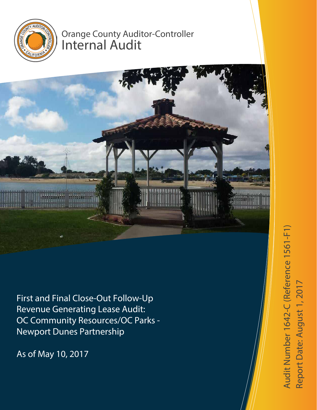

# Orange County Auditor-Controller Internal Audit



First and Final Close-Out Follow-Up Revenue Generating Lease Audit: OC Community Resources/OC Parks - Newport Dunes Partnership

As of May 10, 2017

Audit Number 1642-C (Reference 1561-F1) Audit Number 1642-C (Reference 1561-F1) te: August 1, 2017 $\boldsymbol{\varpi}$ Report D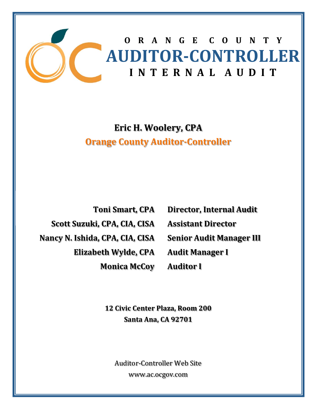

**O R A N G E C O U N T Y AUDITOR‐CONTROLLER** I **N T ER N A** *L***<b>A U D I T** 

# **Eric H. Woolery, CPA Orange County Auditor‐Controller**

**Toni Smart, CPA Scott Suzuki, CPA, CIA, CISA Nancy N. Ishida, CPA, CIA, CISA Elizabeth Wylde, CPA Monica McCoy**

**Director, Internal Audit Assistant Director Senior Audit Manager III Audit Manager I Auditor I**

**12 Civic Center Plaza, Room 200 Santa Ana, CA 92701**

Auditor-Controller Web Site www.ac.ocgov.com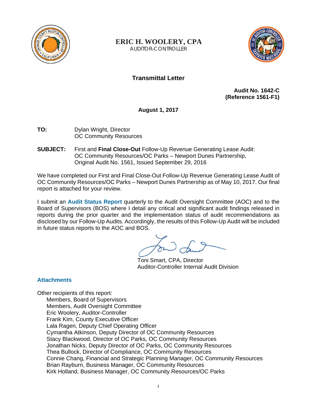

**ERIC H. WOOLERY, CPA** AUDITOR-CONTROLLER



## **Transmittal Letter**

**Audit No. 1642-C (Reference 1561-F1)** 

**August 1, 2017** 

- **TO:** Dylan Wright, Director OC Community Resources
- **SUBJECT:** First and **Final Close-Out** Follow-Up Revenue Generating Lease Audit: OC Community Resources/OC Parks – Newport Dunes Partnership, Original Audit No. 1561, Issued September 29, 2016

We have completed our First and Final Close-Out Follow-Up Revenue Generating Lease Audit of OC Community Resources/OC Parks – Newport Dunes Partnership as of May 10, 2017. Our final report is attached for your review.

I submit an **Audit Status Report** quarterly to the Audit Oversight Committee (AOC) and to the Board of Supervisors (BOS) where I detail any critical and significant audit findings released in reports during the prior quarter and the implementation status of audit recommendations as disclosed by our Follow-Up Audits. Accordingly, the results of this Follow-Up Audit will be included in future status reports to the AOC and BOS.

Toni Smart, CPA, Director Auditor-Controller Internal Audit Division

## **Attachments**

Other recipients of this report: Members, Board of Supervisors Members, Audit Oversight Committee Eric Woolery, Auditor-Controller Frank Kim, County Executive Officer Lala Ragen, Deputy Chief Operating Officer Cymantha Atkinson, Deputy Director of OC Community Resources Stacy Blackwood, Director of OC Parks, OC Community Resources Jonathan Nicks, Deputy Director of OC Parks, OC Community Resources Thea Bullock, Director of Compliance, OC Community Resources Connie Chang, Financial and Strategic Planning Manager, OC Community Resources Brian Rayburn, Business Manager, OC Community Resources Kirk Holland, Business Manager, OC Community Resources/OC Parks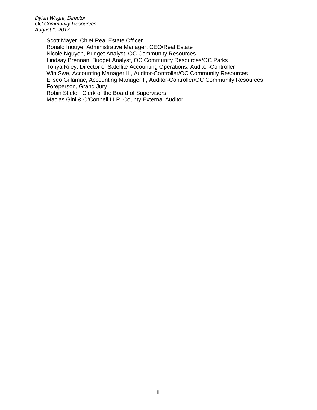*Dylan Wright, Director OC Community Resources August 1, 2017* 

> Scott Mayer, Chief Real Estate Officer Ronald Inouye, Administrative Manager, CEO/Real Estate Nicole Nguyen, Budget Analyst, OC Community Resources Lindsay Brennan, Budget Analyst, OC Community Resources/OC Parks Tonya Riley, Director of Satellite Accounting Operations, Auditor-Controller Win Swe, Accounting Manager III, Auditor-Controller/OC Community Resources Eliseo Gillamac, Accounting Manager II, Auditor-Controller/OC Community Resources Foreperson, Grand Jury Robin Stieler, Clerk of the Board of Supervisors Macias Gini & O'Connell LLP, County External Auditor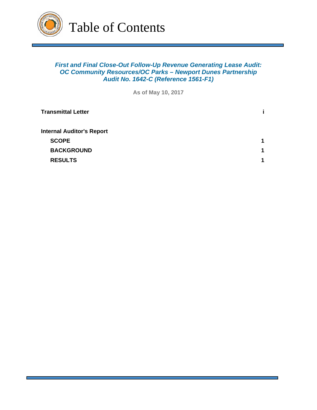

## *First and Final Close-Out Follow-Up Revenue Generating Lease Audit: OC Community Resources/OC Parks – Newport Dunes Partnership Audit No. 1642-C (Reference 1561-F1)*

**As of May 10, 2017**

| <b>Transmittal Letter</b>        |             |
|----------------------------------|-------------|
| <b>Internal Auditor's Report</b> |             |
| <b>SCOPE</b>                     | $\mathbf 1$ |
| <b>BACKGROUND</b>                | $\mathbf 1$ |
| <b>RESULTS</b>                   | 1           |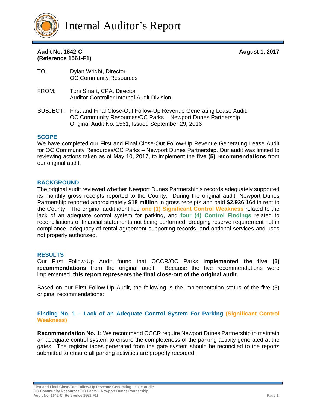

Internal Auditor's Report

#### **Audit No. 1642-C August 1, 2017 (Reference 1561-F1)**

- TO: Dylan Wright, Director OC Community Resources
- FROM: Toni Smart, CPA, Director Auditor-Controller Internal Audit Division
- SUBJECT: First and Final Close-Out Follow-Up Revenue Generating Lease Audit: OC Community Resources/OC Parks – Newport Dunes Partnership Original Audit No. 1561, Issued September 29, 2016

#### **SCOPE**

We have completed our First and Final Close-Out Follow-Up Revenue Generating Lease Audit for OC Community Resources/OC Parks – Newport Dunes Partnership. Our audit was limited to reviewing actions taken as of May 10, 2017, to implement the **five (5) recommendations** from our original audit.

#### **BACKGROUND**

The original audit reviewed whether Newport Dunes Partnership's records adequately supported its monthly gross receipts reported to the County. During the original audit, Newport Dunes Partnership reported approximately **\$18 million** in gross receipts and paid **\$2,936,164** in rent to the County. The original audit identified **one (1) Significant Control Weakness** related to the lack of an adequate control system for parking, and **four (4) Control Findings** related to reconciliations of financial statements not being performed, dredging reserve requirement not in compliance, adequacy of rental agreement supporting records, and optional services and uses not properly authorized.

#### **RESULTS**

Our First Follow-Up Audit found that OCCR/OC Parks **implemented the five (5) recommendations** from the original audit.Because the five recommendations were implemented, **this report represents the final close-out of the original audit.**

Based on our First Follow-Up Audit, the following is the implementation status of the five (5) original recommendations:

#### **Finding No. 1 – Lack of an Adequate Control System For Parking (Significant Control Weakness)**

**Recommendation No. 1:** We recommend OCCR require Newport Dunes Partnership to maintain an adequate control system to ensure the completeness of the parking activity generated at the gates. The register tapes generated from the gate system should be reconciled to the reports submitted to ensure all parking activities are properly recorded.

**First and Final Close-Out Follow-Up Revenue Generating Lease Audit: OC Community Resources/OC Parks – Newport Dunes Partnership Audit No. 1642-C (Reference 1561-F1) Page 1**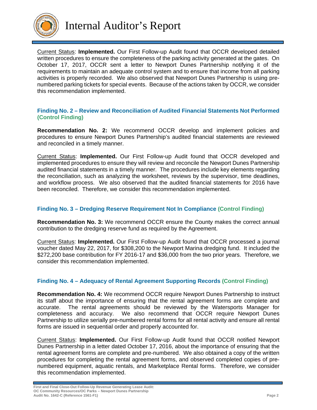

Internal Auditor's Report

Current Status: **Implemented.** Our First Follow-up Audit found that OCCR developed detailed written procedures to ensure the completeness of the parking activity generated at the gates. On October 17, 2017, OCCR sent a letter to Newport Dunes Partnership notifying it of the requirements to maintain an adequate control system and to ensure that income from all parking activities is properly recorded. We also observed that Newport Dunes Partnership is using prenumbered parking tickets for special events. Because of the actions taken by OCCR, we consider this recommendation implemented.

#### **Finding No. 2 – Review and Reconciliation of Audited Financial Statements Not Performed (Control Finding)**

**Recommendation No. 2:** We recommend OCCR develop and implement policies and procedures to ensure Newport Dunes Partnership's audited financial statements are reviewed and reconciled in a timely manner.

Current Status: **Implemented.** Our First Follow-up Audit found that OCCR developed and implemented procedures to ensure they will review and reconcile the Newport Dunes Partnership audited financial statements in a timely manner. The procedures include key elements regarding the reconciliation, such as analyzing the worksheet, reviews by the supervisor, time deadlines, and workflow process. We also observed that the audited financial statements for 2016 have been reconciled. Therefore, we consider this recommendation implemented.

## **Finding No. 3 – Dredging Reserve Requirement Not In Compliance (Control Finding)**

**Recommendation No. 3:** We recommend OCCR ensure the County makes the correct annual contribution to the dredging reserve fund as required by the Agreement.

Current Status: **Implemented.** Our First Follow-up Audit found that OCCR processed a journal voucher dated May 22, 2017, for \$308,200 to the Newport Marina dredging fund. It included the \$272,200 base contribution for FY 2016-17 and \$36,000 from the two prior years. Therefore, we consider this recommendation implemented.

#### **Finding No. 4 – Adequacy of Rental Agreement Supporting Records (Control Finding)**

**Recommendation No. 4:** We recommend OCCR require Newport Dunes Partnership to instruct its staff about the importance of ensuring that the rental agreement forms are complete and accurate. The rental agreements should be reviewed by the Watersports Manager for completeness and accuracy. We also recommend that OCCR require Newport Dunes Partnership to utilize serially pre-numbered rental forms for all rental activity and ensure all rental forms are issued in sequential order and properly accounted for.

Current Status: **Implemented.** Our First Follow-up Audit found that OCCR notified Newport Dunes Partnership in a letter dated October 17, 2016, about the importance of ensuring that the rental agreement forms are complete and pre-numbered. We also obtained a copy of the written procedures for completing the rental agreement forms, and observed completed copies of prenumbered equipment, aquatic rentals, and Marketplace Rental forms. Therefore, we consider this recommendation implemented.